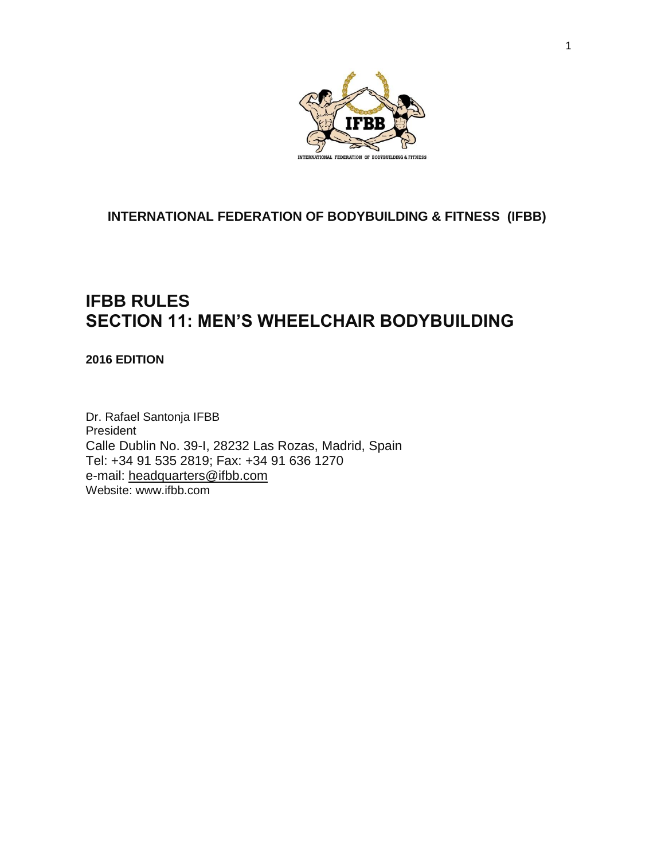

## **INTERNATIONAL FEDERATION OF BODYBUILDING & FITNESS (IFBB)**

## **IFBB RULES SECTION 11: MEN'S WHEELCHAIR BODYBUILDING**

## **2016 EDITION**

Dr. Rafael Santonja IFBB President Calle Dublin No. 39-I, 28232 Las Rozas, Madrid, Spain Tel: +34 91 535 2819; Fax: +34 91 636 1270 e-mail: [headquarters@ifbb.com](mailto:%20headquarters@ifbb.com) Website: [www.ifbb.com](http://www.ifbb.com/)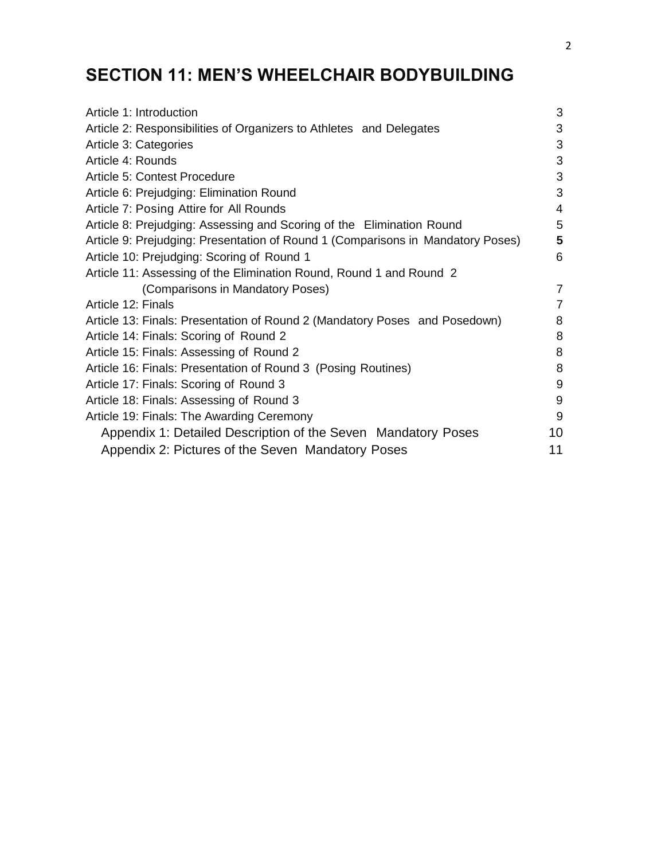# **SECTION 11: MEN'S WHEELCHAIR BODYBUILDING**

| Article 1: Introduction                                                         | 3              |
|---------------------------------------------------------------------------------|----------------|
| Article 2: Responsibilities of Organizers to Athletes and Delegates             | 3              |
| Article 3: Categories                                                           | 3              |
| Article 4: Rounds                                                               | 3              |
| Article 5: Contest Procedure                                                    | 3              |
| Article 6: Prejudging: Elimination Round                                        | 3              |
| Article 7: Posing Attire for All Rounds                                         | $\overline{4}$ |
| Article 8: Prejudging: Assessing and Scoring of the Elimination Round           | 5              |
| Article 9: Prejudging: Presentation of Round 1 (Comparisons in Mandatory Poses) | 5              |
| Article 10: Prejudging: Scoring of Round 1                                      | 6              |
| Article 11: Assessing of the Elimination Round, Round 1 and Round 2             |                |
| (Comparisons in Mandatory Poses)                                                | 7              |
| Article 12: Finals                                                              | $\overline{7}$ |
| Article 13: Finals: Presentation of Round 2 (Mandatory Poses and Posedown)      | 8              |
| Article 14: Finals: Scoring of Round 2                                          | 8              |
| Article 15: Finals: Assessing of Round 2                                        | 8              |
| Article 16: Finals: Presentation of Round 3 (Posing Routines)                   | 8              |
| Article 17: Finals: Scoring of Round 3                                          | $9\,$          |
| Article 18: Finals: Assessing of Round 3                                        | 9              |
| Article 19: Finals: The Awarding Ceremony                                       | 9              |
| Appendix 1: Detailed Description of the Seven Mandatory Poses                   | 10             |
| Appendix 2: Pictures of the Seven Mandatory Poses                               | 11             |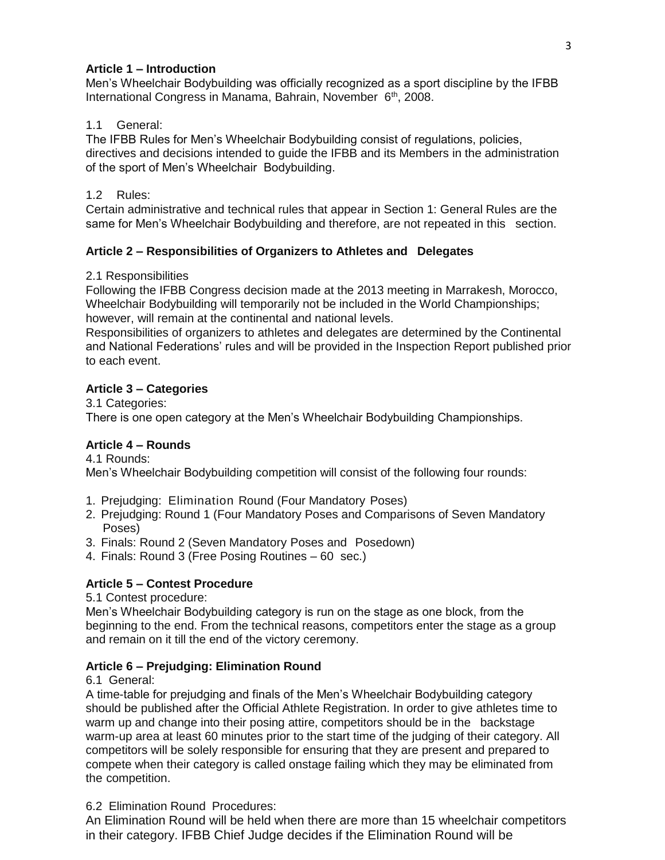## **Article 1 – Introduction**

Men's Wheelchair Bodybuilding was officially recognized as a sport discipline by the IFBB International Congress in Manama, Bahrain, November 6<sup>th</sup>, 2008.

## 1.1 General:

The IFBB Rules for Men's Wheelchair Bodybuilding consist of regulations, policies, directives and decisions intended to guide the IFBB and its Members in the administration of the sport of Men's Wheelchair Bodybuilding.

## 1.2 Rules:

Certain administrative and technical rules that appear in Section 1: General Rules are the same for Men's Wheelchair Bodybuilding and therefore, are not repeated in this section.

## **Article 2 – Responsibilities of Organizers to Athletes and Delegates**

## 2.1 Responsibilities

Following the IFBB Congress decision made at the 2013 meeting in Marrakesh, Morocco, Wheelchair Bodybuilding will temporarily not be included in the World Championships; however, will remain at the continental and national levels.

Responsibilities of organizers to athletes and delegates are determined by the Continental and National Federations' rules and will be provided in the Inspection Report published prior to each event.

## **Article 3 – Categories**

3.1 Categories: There is one open category at the Men's Wheelchair Bodybuilding Championships.

## **Article 4 – Rounds**

4.1 Rounds: Men's Wheelchair Bodybuilding competition will consist of the following four rounds:

- 1. Prejudging: Elimination Round (Four Mandatory Poses)
- 2. Prejudging: Round 1 (Four Mandatory Poses and Comparisons of Seven Mandatory Poses)
- 3. Finals: Round 2 (Seven Mandatory Poses and Posedown)
- 4. Finals: Round 3 (Free Posing Routines 60 sec.)

## **Article 5 – Contest Procedure**

5.1 Contest procedure:

Men's Wheelchair Bodybuilding category is run on the stage as one block, from the beginning to the end. From the technical reasons, competitors enter the stage as a group and remain on it till the end of the victory ceremony.

## **Article 6 – Prejudging: Elimination Round**

6.1 General:

A time-table for prejudging and finals of the Men's Wheelchair Bodybuilding category should be published after the Official Athlete Registration. In order to give athletes time to warm up and change into their posing attire, competitors should be in the backstage warm-up area at least 60 minutes prior to the start time of the judging of their category. All competitors will be solely responsible for ensuring that they are present and prepared to compete when their category is called onstage failing which they may be eliminated from the competition.

## 6.2 Elimination Round Procedures:

An Elimination Round will be held when there are more than 15 wheelchair competitors in their category. IFBB Chief Judge decides if the Elimination Round will be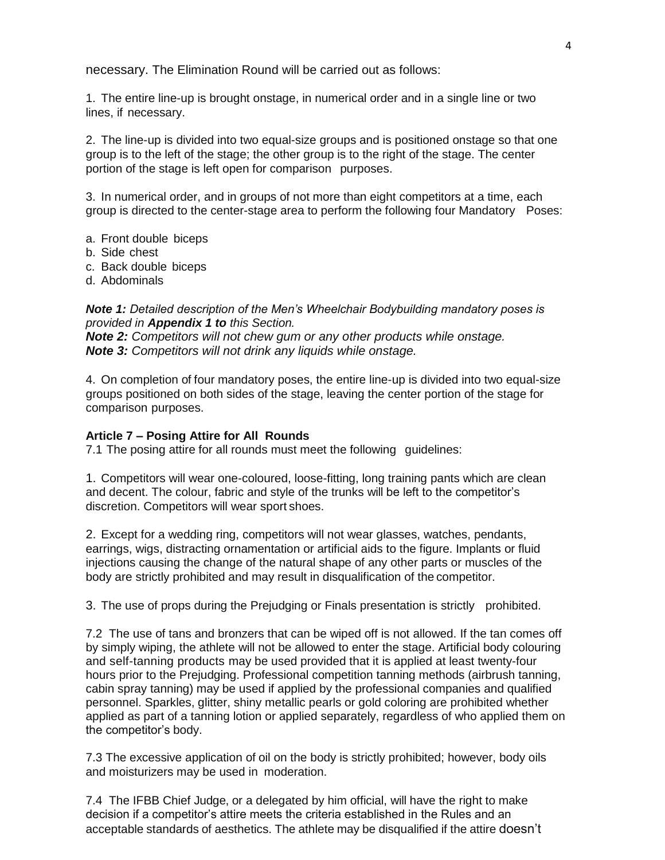necessary. The Elimination Round will be carried out as follows:

1. The entire line-up is brought onstage, in numerical order and in a single line or two lines, if necessary.

2. The line-up is divided into two equal-size groups and is positioned onstage so that one group is to the left of the stage; the other group is to the right of the stage. The center portion of the stage is left open for comparison purposes.

3. In numerical order, and in groups of not more than eight competitors at a time, each group is directed to the center-stage area to perform the following four Mandatory Poses:

- a. Front double biceps
- b. Side chest
- c. Back double biceps
- d. Abdominals

*Note 1: Detailed description of the Men's Wheelchair Bodybuilding mandatory poses is provided in Appendix 1 to this Section.*

*Note 2: Competitors will not chew gum or any other products while onstage. Note 3: Competitors will not drink any liquids while onstage.*

4. On completion of four mandatory poses, the entire line-up is divided into two equal-size groups positioned on both sides of the stage, leaving the center portion of the stage for comparison purposes.

#### **Article 7 – Posing Attire for All Rounds**

7.1 The posing attire for all rounds must meet the following guidelines:

1. Competitors will wear one-coloured, loose-fitting, long training pants which are clean and decent. The colour, fabric and style of the trunks will be left to the competitor's discretion. Competitors will wear sport shoes.

2. Except for a wedding ring, competitors will not wear glasses, watches, pendants, earrings, wigs, distracting ornamentation or artificial aids to the figure. Implants or fluid injections causing the change of the natural shape of any other parts or muscles of the body are strictly prohibited and may result in disqualification of the competitor.

3. The use of props during the Prejudging or Finals presentation is strictly prohibited.

7.2 The use of tans and bronzers that can be wiped off is not allowed. If the tan comes off by simply wiping, the athlete will not be allowed to enter the stage. Artificial body colouring and self-tanning products may be used provided that it is applied at least twenty-four hours prior to the Prejudging. Professional competition tanning methods (airbrush tanning, cabin spray tanning) may be used if applied by the professional companies and qualified personnel. Sparkles, glitter, shiny metallic pearls or gold coloring are prohibited whether applied as part of a tanning lotion or applied separately, regardless of who applied them on the competitor's body.

7.3 The excessive application of oil on the body is strictly prohibited; however, body oils and moisturizers may be used in moderation.

7.4 The IFBB Chief Judge, or a delegated by him official, will have the right to make decision if a competitor's attire meets the criteria established in the Rules and an acceptable standards of aesthetics. The athlete may be disqualified if the attire doesn't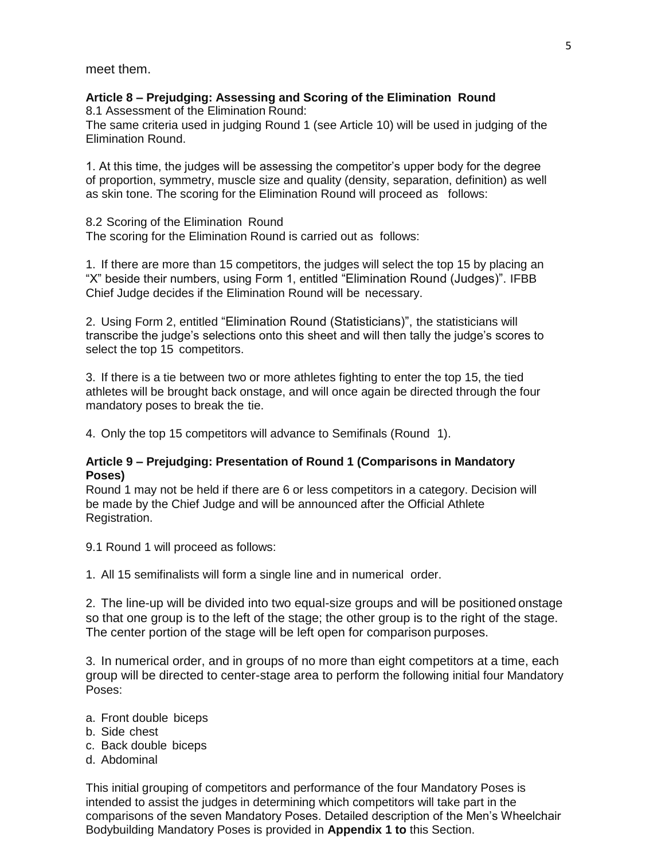meet them.

## **Article 8 – Prejudging: Assessing and Scoring of the Elimination Round**

8.1 Assessment of the Elimination Round:

The same criteria used in judging Round 1 (see Article 10) will be used in judging of the Elimination Round.

1. At this time, the judges will be assessing the competitor's upper body for the degree of proportion, symmetry, muscle size and quality (density, separation, definition) as well as skin tone. The scoring for the Elimination Round will proceed as follows:

8.2 Scoring of the Elimination Round The scoring for the Elimination Round is carried out as follows:

1. If there are more than 15 competitors, the judges will select the top 15 by placing an "X" beside their numbers, using Form 1, entitled "Elimination Round (Judges)". IFBB Chief Judge decides if the Elimination Round will be necessary.

2. Using Form 2, entitled "Elimination Round (Statisticians)", the statisticians will transcribe the judge's selections onto this sheet and will then tally the judge's scores to select the top 15 competitors.

3. If there is a tie between two or more athletes fighting to enter the top 15, the tied athletes will be brought back onstage, and will once again be directed through the four mandatory poses to break the tie.

4. Only the top 15 competitors will advance to Semifinals (Round 1).

## **Article 9 – Prejudging: Presentation of Round 1 (Comparisons in Mandatory Poses)**

Round 1 may not be held if there are 6 or less competitors in a category. Decision will be made by the Chief Judge and will be announced after the Official Athlete Registration.

9.1 Round 1 will proceed as follows:

1. All 15 semifinalists will form a single line and in numerical order.

2. The line-up will be divided into two equal-size groups and will be positioned onstage so that one group is to the left of the stage; the other group is to the right of the stage. The center portion of the stage will be left open for comparison purposes.

3. In numerical order, and in groups of no more than eight competitors at a time, each group will be directed to center-stage area to perform the following initial four Mandatory Poses:

- a. Front double biceps
- b. Side chest
- c. Back double biceps
- d. Abdominal

This initial grouping of competitors and performance of the four Mandatory Poses is intended to assist the judges in determining which competitors will take part in the comparisons of the seven Mandatory Poses. Detailed description of the Men's Wheelchair Bodybuilding Mandatory Poses is provided in **Appendix 1 to** this Section.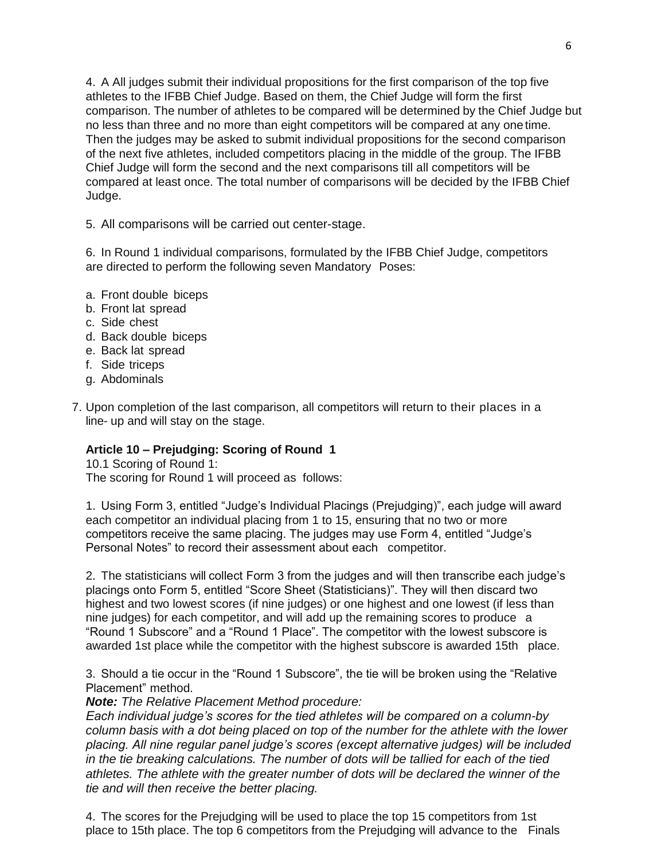4. A All judges submit their individual propositions for the first comparison of the top five athletes to the IFBB Chief Judge. Based on them, the Chief Judge will form the first comparison. The number of athletes to be compared will be determined by the Chief Judge but no less than three and no more than eight competitors will be compared at any one time. Then the judges may be asked to submit individual propositions for the second comparison of the next five athletes, included competitors placing in the middle of the group. The IFBB Chief Judge will form the second and the next comparisons till all competitors will be compared at least once. The total number of comparisons will be decided by the IFBB Chief Judge.

5. All comparisons will be carried out center-stage.

6. In Round 1 individual comparisons, formulated by the IFBB Chief Judge, competitors are directed to perform the following seven Mandatory Poses:

- a. Front double biceps
- b. Front lat spread
- c. Side chest
- d. Back double biceps
- e. Back lat spread
- f. Side triceps
- g. Abdominals
- 7. Upon completion of the last comparison, all competitors will return to their places in a line- up and will stay on the stage.

## **Article 10 – Prejudging: Scoring of Round 1**

10.1 Scoring of Round 1: The scoring for Round 1 will proceed as follows:

1. Using Form 3, entitled "Judge's Individual Placings (Prejudging)", each judge will award each competitor an individual placing from 1 to 15, ensuring that no two or more competitors receive the same placing. The judges may use Form 4, entitled "Judge's Personal Notes" to record their assessment about each competitor.

2. The statisticians will collect Form 3 from the judges and will then transcribe each judge's placings onto Form 5, entitled "Score Sheet (Statisticians)". They will then discard two highest and two lowest scores (if nine judges) or one highest and one lowest (if less than nine judges) for each competitor, and will add up the remaining scores to produce a "Round 1 Subscore" and a "Round 1 Place". The competitor with the lowest subscore is awarded 1st place while the competitor with the highest subscore is awarded 15th place.

3. Should a tie occur in the "Round 1 Subscore", the tie will be broken using the "Relative Placement" method.

*Note: The Relative Placement Method procedure:*

*Each individual judge's scores for the tied athletes will be compared on a column-by column basis with a dot being placed on top of the number for the athlete with the lower placing. All nine regular panel judge's scores (except alternative judges) will be included in the tie breaking calculations. The number of dots will be tallied for each of the tied athletes. The athlete with the greater number of dots will be declared the winner of the tie and will then receive the better placing.*

4. The scores for the Prejudging will be used to place the top 15 competitors from 1st place to 15th place. The top 6 competitors from the Prejudging will advance to the Finals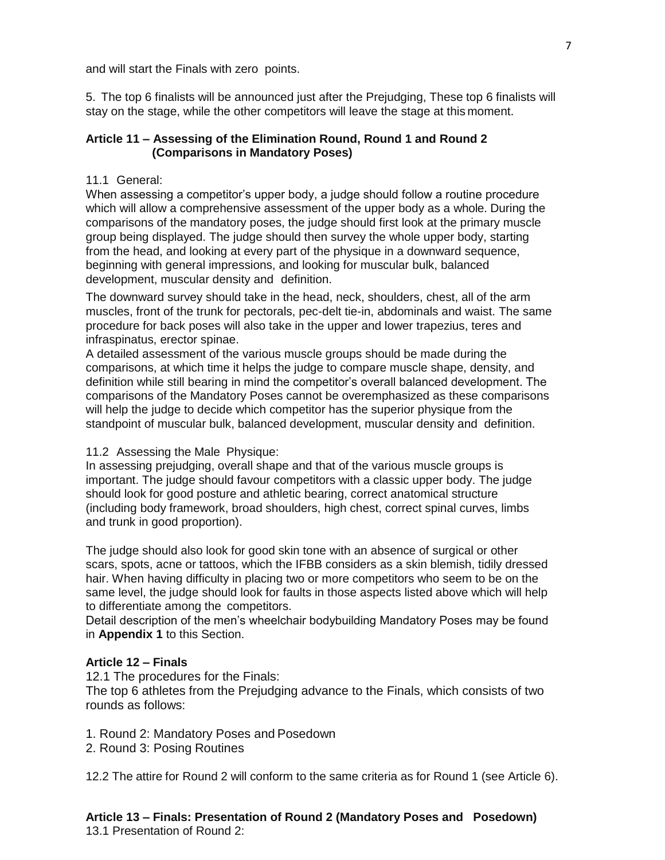and will start the Finals with zero points.

5. The top 6 finalists will be announced just after the Prejudging, These top 6 finalists will stay on the stage, while the other competitors will leave the stage at this moment.

## **Article 11 – Assessing of the Elimination Round, Round 1 and Round 2 (Comparisons in Mandatory Poses)**

## 11.1 General:

When assessing a competitor's upper body, a judge should follow a routine procedure which will allow a comprehensive assessment of the upper body as a whole. During the comparisons of the mandatory poses, the judge should first look at the primary muscle group being displayed. The judge should then survey the whole upper body, starting from the head, and looking at every part of the physique in a downward sequence, beginning with general impressions, and looking for muscular bulk, balanced development, muscular density and definition.

The downward survey should take in the head, neck, shoulders, chest, all of the arm muscles, front of the trunk for pectorals, pec-delt tie-in, abdominals and waist. The same procedure for back poses will also take in the upper and lower trapezius, teres and infraspinatus, erector spinae.

A detailed assessment of the various muscle groups should be made during the comparisons, at which time it helps the judge to compare muscle shape, density, and definition while still bearing in mind the competitor's overall balanced development. The comparisons of the Mandatory Poses cannot be overemphasized as these comparisons will help the judge to decide which competitor has the superior physique from the standpoint of muscular bulk, balanced development, muscular density and definition.

#### 11.2 Assessing the Male Physique:

In assessing prejudging, overall shape and that of the various muscle groups is important. The judge should favour competitors with a classic upper body. The judge should look for good posture and athletic bearing, correct anatomical structure (including body framework, broad shoulders, high chest, correct spinal curves, limbs and trunk in good proportion).

The judge should also look for good skin tone with an absence of surgical or other scars, spots, acne or tattoos, which the IFBB considers as a skin blemish, tidily dressed hair. When having difficulty in placing two or more competitors who seem to be on the same level, the judge should look for faults in those aspects listed above which will help to differentiate among the competitors.

Detail description of the men's wheelchair bodybuilding Mandatory Poses may be found in **Appendix 1** to this Section.

## **Article 12 – Finals**

12.1 The procedures for the Finals:

The top 6 athletes from the Prejudging advance to the Finals, which consists of two rounds as follows:

- 1. Round 2: Mandatory Poses and Posedown
- 2. Round 3: Posing Routines

12.2 The attire for Round 2 will conform to the same criteria as for Round 1 (see Article 6).

**Article 13 – Finals: Presentation of Round 2 (Mandatory Poses and Posedown)** 13.1 Presentation of Round 2: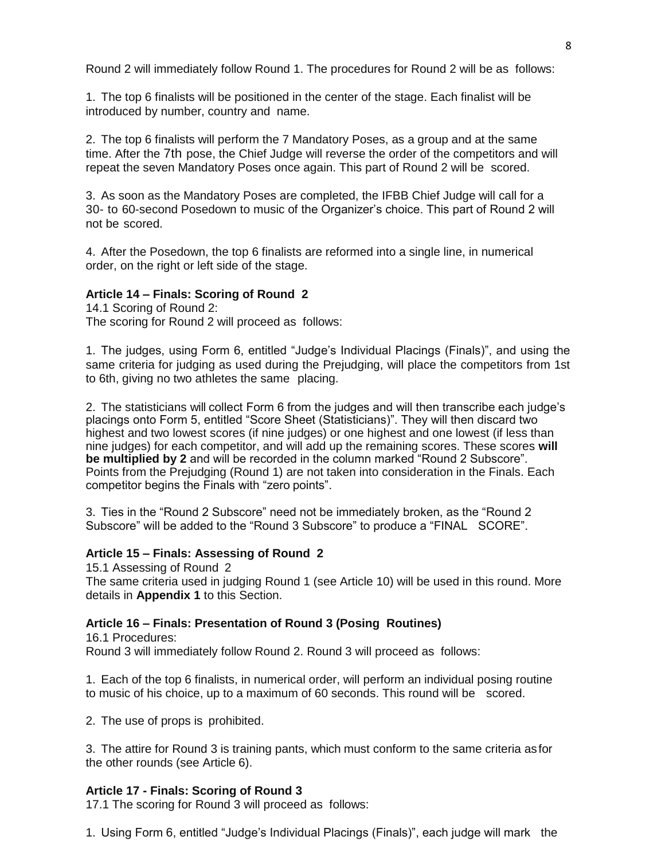Round 2 will immediately follow Round 1. The procedures for Round 2 will be as follows:

1. The top 6 finalists will be positioned in the center of the stage. Each finalist will be introduced by number, country and name.

2. The top 6 finalists will perform the 7 Mandatory Poses, as a group and at the same time. After the 7th pose, the Chief Judge will reverse the order of the competitors and will repeat the seven Mandatory Poses once again. This part of Round 2 will be scored.

3. As soon as the Mandatory Poses are completed, the IFBB Chief Judge will call for a 30- to 60-second Posedown to music of the Organizer's choice. This part of Round 2 will not be scored.

4. After the Posedown, the top 6 finalists are reformed into a single line, in numerical order, on the right or left side of the stage.

#### **Article 14 – Finals: Scoring of Round 2**

14.1 Scoring of Round 2: The scoring for Round 2 will proceed as follows:

1. The judges, using Form 6, entitled "Judge's Individual Placings (Finals)", and using the same criteria for judging as used during the Prejudging, will place the competitors from 1st to 6th, giving no two athletes the same placing.

2. The statisticians will collect Form 6 from the judges and will then transcribe each judge's placings onto Form 5, entitled "Score Sheet (Statisticians)". They will then discard two highest and two lowest scores (if nine judges) or one highest and one lowest (if less than nine judges) for each competitor, and will add up the remaining scores. These scores **will be multiplied by 2** and will be recorded in the column marked "Round 2 Subscore". Points from the Prejudging (Round 1) are not taken into consideration in the Finals. Each competitor begins the Finals with "zero points".

3. Ties in the "Round 2 Subscore" need not be immediately broken, as the "Round 2 Subscore" will be added to the "Round 3 Subscore" to produce a "FINAL SCORE".

#### **Article 15 – Finals: Assessing of Round 2**

15.1 Assessing of Round 2

The same criteria used in judging Round 1 (see Article 10) will be used in this round. More details in **Appendix 1** to this Section.

#### **Article 16 – Finals: Presentation of Round 3 (Posing Routines)**

16.1 Procedures: Round 3 will immediately follow Round 2. Round 3 will proceed as follows:

1. Each of the top 6 finalists, in numerical order, will perform an individual posing routine to music of his choice, up to a maximum of 60 seconds. This round will be scored.

2. The use of props is prohibited.

3. The attire for Round 3 is training pants, which must conform to the same criteria asfor the other rounds (see Article 6).

#### **Article 17 - Finals: Scoring of Round 3**

17.1 The scoring for Round 3 will proceed as follows:

1. Using Form 6, entitled "Judge's Individual Placings (Finals)", each judge will mark the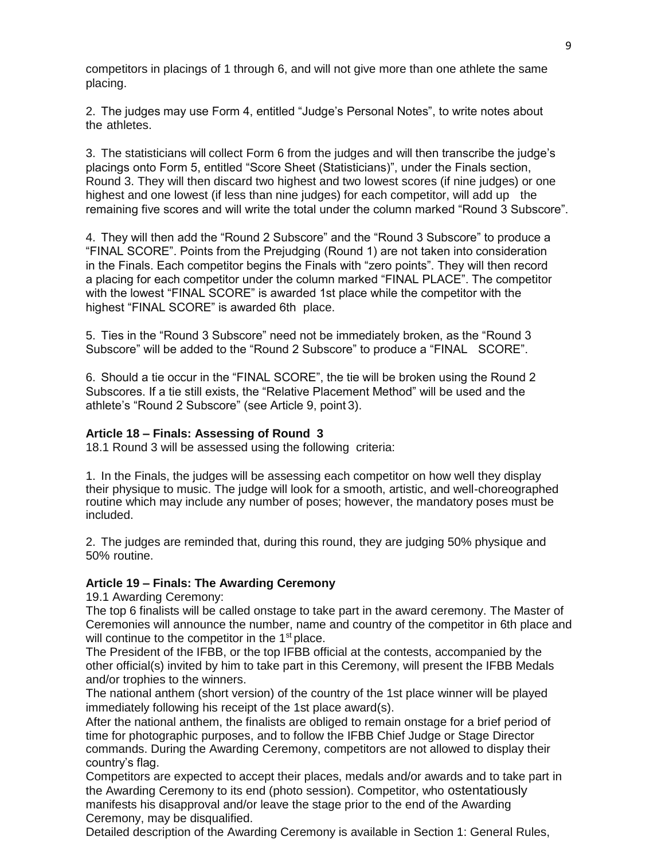competitors in placings of 1 through 6, and will not give more than one athlete the same placing.

2. The judges may use Form 4, entitled "Judge's Personal Notes", to write notes about the athletes.

3. The statisticians will collect Form 6 from the judges and will then transcribe the judge's placings onto Form 5, entitled "Score Sheet (Statisticians)", under the Finals section, Round 3. They will then discard two highest and two lowest scores (if nine judges) or one highest and one lowest (if less than nine judges) for each competitor, will add up the remaining five scores and will write the total under the column marked "Round 3 Subscore".

4. They will then add the "Round 2 Subscore" and the "Round 3 Subscore" to produce a "FINAL SCORE". Points from the Prejudging (Round 1) are not taken into consideration in the Finals. Each competitor begins the Finals with "zero points". They will then record a placing for each competitor under the column marked "FINAL PLACE". The competitor with the lowest "FINAL SCORE" is awarded 1st place while the competitor with the highest "FINAL SCORE" is awarded 6th place.

5. Ties in the "Round 3 Subscore" need not be immediately broken, as the "Round 3 Subscore" will be added to the "Round 2 Subscore" to produce a "FINAL SCORE".

6. Should a tie occur in the "FINAL SCORE", the tie will be broken using the Round 2 Subscores. If a tie still exists, the "Relative Placement Method" will be used and the athlete's "Round 2 Subscore" (see Article 9, point 3).

#### **Article 18 – Finals: Assessing of Round 3**

18.1 Round 3 will be assessed using the following criteria:

1. In the Finals, the judges will be assessing each competitor on how well they display their physique to music. The judge will look for a smooth, artistic, and well-choreographed routine which may include any number of poses; however, the mandatory poses must be included.

2. The judges are reminded that, during this round, they are judging 50% physique and 50% routine.

#### **Article 19 – Finals: The Awarding Ceremony**

19.1 Awarding Ceremony:

The top 6 finalists will be called onstage to take part in the award ceremony. The Master of Ceremonies will announce the number, name and country of the competitor in 6th place and will continue to the competitor in the 1<sup>st</sup> place.

The President of the IFBB, or the top IFBB official at the contests, accompanied by the other official(s) invited by him to take part in this Ceremony, will present the IFBB Medals and/or trophies to the winners.

The national anthem (short version) of the country of the 1st place winner will be played immediately following his receipt of the 1st place award(s).

After the national anthem, the finalists are obliged to remain onstage for a brief period of time for photographic purposes, and to follow the IFBB Chief Judge or Stage Director commands. During the Awarding Ceremony, competitors are not allowed to display their country's flag.

Competitors are expected to accept their places, medals and/or awards and to take part in the Awarding Ceremony to its end (photo session). Competitor, who ostentatiously manifests his disapproval and/or leave the stage prior to the end of the Awarding Ceremony, may be disqualified.

Detailed description of the Awarding Ceremony is available in Section 1: General Rules,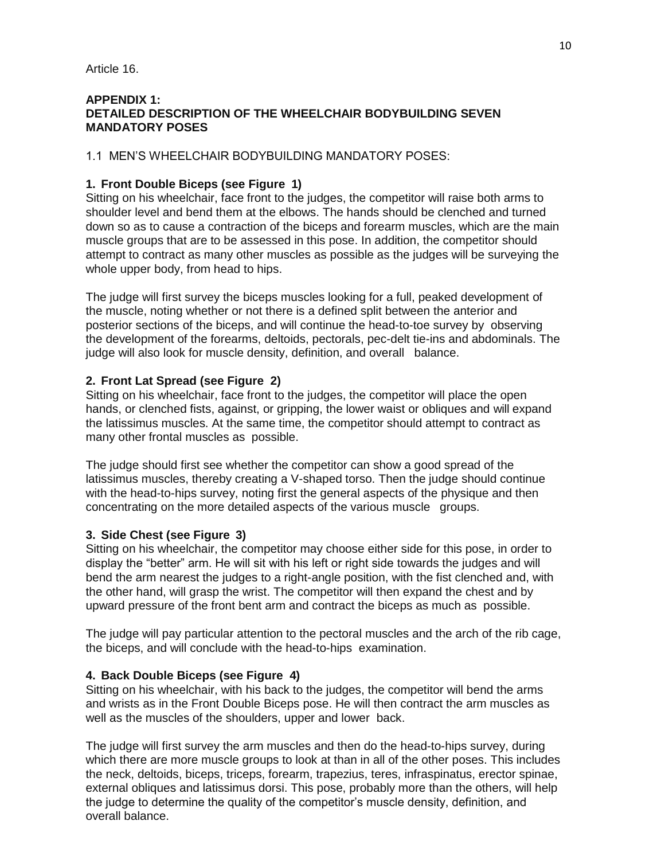Article 16.

#### **APPENDIX 1: DETAILED DESCRIPTION OF THE WHEELCHAIR BODYBUILDING SEVEN MANDATORY POSES**

1.1 MEN'S WHEELCHAIR BODYBUILDING MANDATORY POSES:

## **1. Front Double Biceps (see Figure 1)**

Sitting on his wheelchair, face front to the judges, the competitor will raise both arms to shoulder level and bend them at the elbows. The hands should be clenched and turned down so as to cause a contraction of the biceps and forearm muscles, which are the main muscle groups that are to be assessed in this pose. In addition, the competitor should attempt to contract as many other muscles as possible as the judges will be surveying the whole upper body, from head to hips.

The judge will first survey the biceps muscles looking for a full, peaked development of the muscle, noting whether or not there is a defined split between the anterior and posterior sections of the biceps, and will continue the head-to-toe survey by observing the development of the forearms, deltoids, pectorals, pec-delt tie-ins and abdominals. The judge will also look for muscle density, definition, and overall balance.

## **2. Front Lat Spread (see Figure 2)**

Sitting on his wheelchair, face front to the judges, the competitor will place the open hands, or clenched fists, against, or gripping, the lower waist or obliques and will expand the latissimus muscles. At the same time, the competitor should attempt to contract as many other frontal muscles as possible.

The judge should first see whether the competitor can show a good spread of the latissimus muscles, thereby creating a V-shaped torso. Then the judge should continue with the head-to-hips survey, noting first the general aspects of the physique and then concentrating on the more detailed aspects of the various muscle groups.

## **3. Side Chest (see Figure 3)**

Sitting on his wheelchair, the competitor may choose either side for this pose, in order to display the "better" arm. He will sit with his left or right side towards the judges and will bend the arm nearest the judges to a right-angle position, with the fist clenched and, with the other hand, will grasp the wrist. The competitor will then expand the chest and by upward pressure of the front bent arm and contract the biceps as much as possible.

The judge will pay particular attention to the pectoral muscles and the arch of the rib cage, the biceps, and will conclude with the head-to-hips examination.

#### **4. Back Double Biceps (see Figure 4)**

Sitting on his wheelchair, with his back to the judges, the competitor will bend the arms and wrists as in the Front Double Biceps pose. He will then contract the arm muscles as well as the muscles of the shoulders, upper and lower back.

The judge will first survey the arm muscles and then do the head-to-hips survey, during which there are more muscle groups to look at than in all of the other poses. This includes the neck, deltoids, biceps, triceps, forearm, trapezius, teres, infraspinatus, erector spinae, external obliques and latissimus dorsi. This pose, probably more than the others, will help the judge to determine the quality of the competitor's muscle density, definition, and overall balance.